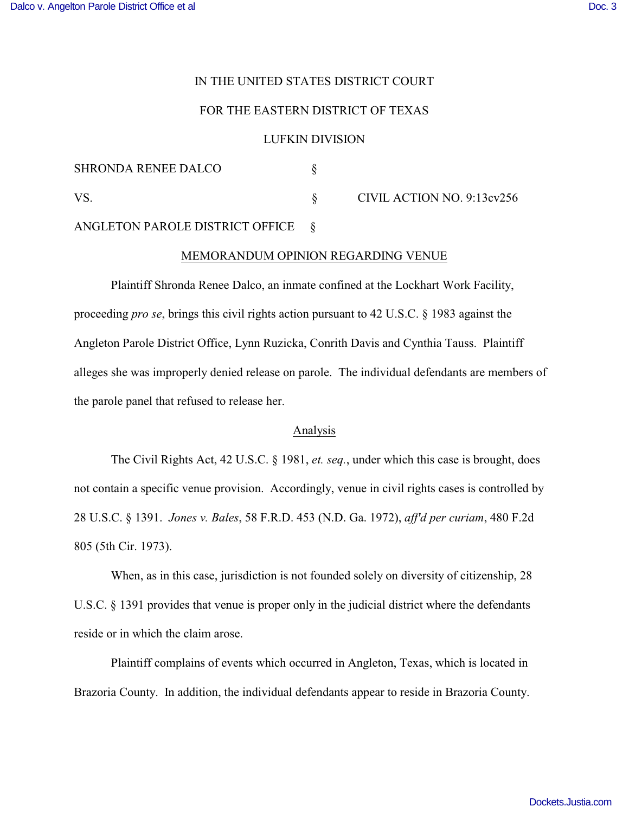## IN THE UNITED STATES DISTRICT COURT

### FOR THE EASTERN DISTRICT OF TEXAS

### LUFKIN DIVISION

| <b>SHRONDA RENEE DALCO</b> |                            |
|----------------------------|----------------------------|
| VS.                        | CIVIL ACTION NO. 9:13cv256 |

# ANGLETON PAROLE DISTRICT OFFICE §

### MEMORANDUM OPINION REGARDING VENUE

Plaintiff Shronda Renee Dalco, an inmate confined at the Lockhart Work Facility, proceeding *pro se*, brings this civil rights action pursuant to 42 U.S.C. § 1983 against the Angleton Parole District Office, Lynn Ruzicka, Conrith Davis and Cynthia Tauss. Plaintiff alleges she was improperly denied release on parole. The individual defendants are members of the parole panel that refused to release her.

### Analysis

The Civil Rights Act, 42 U.S.C. § 1981, *et. seq.*, under which this case is brought, does not contain a specific venue provision. Accordingly, venue in civil rights cases is controlled by 28 U.S.C. § 1391. *Jones v. Bales*, 58 F.R.D. 453 (N.D. Ga. 1972), *aff'd per curiam*, 480 F.2d 805 (5th Cir. 1973).

When, as in this case, jurisdiction is not founded solely on diversity of citizenship, 28 U.S.C. § 1391 provides that venue is proper only in the judicial district where the defendants reside or in which the claim arose.

Plaintiff complains of events which occurred in Angleton, Texas, which is located in Brazoria County. In addition, the individual defendants appear to reside in Brazoria County.